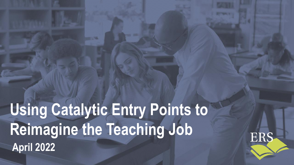# **Using Catalytic Entry Points to Reimagine the Teaching Job April 2022**

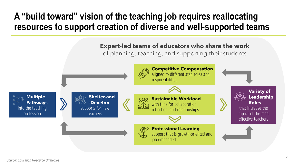### **A "build toward" vision of the teaching job requires reallocating resources to support creation of diverse and well-supported teams**

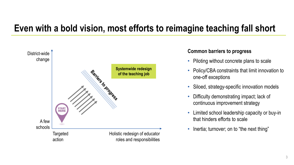### **Even with a bold vision, most efforts to reimagine teaching fall short**



#### **Common barriers to progress**

- Piloting without concrete plans to scale
- Policy/CBA constraints that limit innovation to one-off exceptions
- Siloed, strategy-specific innovation models
- Difficulty demonstrating impact; lack of continuous improvement strategy
- Limited school leadership capacity or buy-in that hinders efforts to scale
- Inertia; turnover; on to "the next thing"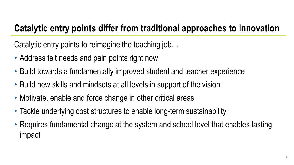### **Catalytic entry points differ from traditional approaches to innovation**

Catalytic entry points to reimagine the teaching job…

- Address felt needs and pain points right now
- Build towards a fundamentally improved student and teacher experience
- Build new skills and mindsets at all levels in support of the vision
- Motivate, enable and force change in other critical areas
- Tackle underlying cost structures to enable long-term sustainability
- Requires fundamental change at the system and school level that enables lasting impact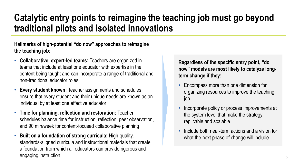### **Catalytic entry points to reimagine the teaching job must go beyond traditional pilots and isolated innovations**

#### **Hallmarks of high-potential "do now" approaches to reimagine the teaching job:**

- **Collaborative, expert-led teams:** Teachers are organized in teams that include at least one educator with expertise in the content being taught and can incorporate a range of traditional and non-traditional educator roles
- **Every student known:** Teacher assignments and schedules ensure that every student and their unique needs are known as an individual by at least one effective educator
- **Time for planning, reflection and restoration:** Teacher schedules balance time for instruction, reflection, peer observation, and 90 min/week for content-focused collaborative planning
- **Built on a foundation of strong curricula:** High-quality, standards-aligned curricula and instructional materials that create a foundation from which all educators can provide rigorous and engaging instruction  $5\frac{1}{2}$

**Regardless of the specific entry point, "do now" models are most likely to catalyze longterm change if they:**

- Encompass more than one dimension for organizing resources to improve the teaching job
- Incorporate policy or process improvements at the system level that make the strategy replicable and scalable
- Include both near-term actions and a vision for what the next phase of change will include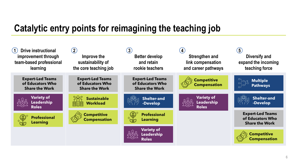### **Catalytic entry points for reimagining the teaching job**

| <b>Drive instructional</b><br>improvement through<br>team-based professional<br>learning | $\left( 2\right)$<br>Improve the<br>sustainability of<br>the core teaching job | $\left(3\right)$<br><b>Better develop</b><br>and retain<br>rookie teachers | $\left( 4\right)$<br><b>Strengthen and</b><br>link compensation<br>and career pathways | (5)<br>Diversify and<br>expand the incoming<br>teaching force        |
|------------------------------------------------------------------------------------------|--------------------------------------------------------------------------------|----------------------------------------------------------------------------|----------------------------------------------------------------------------------------|----------------------------------------------------------------------|
| <b>Expert-Led Teams</b><br>of Educators Who<br><b>Share the Work</b>                     | <b>Expert-Led Teams</b><br>of Educators Who<br><b>Share the Work</b>           | <b>Expert-Led Teams</b><br>of Educators Who<br><b>Share the Work</b>       | <b>Competitive</b><br><b>Compensation</b>                                              | <b>Multiple</b><br>머<br><b>Pathways</b>                              |
| <b>Variety of</b><br><b>Leadership</b><br><b>Roles</b>                                   | <b>Sustainable</b><br><b>Workload</b>                                          | <b>Shelter-and</b><br>-Develop                                             | <b>Variety of</b><br><b>ARA</b><br><b>Leadership</b><br><b>Roles</b>                   | <b>Shelter-and</b><br>-Develop                                       |
| <b>Professional</b><br><b>Learning</b>                                                   | <b>Competitive</b><br><b>Compensation</b>                                      | <b>Professional</b><br><b>Learning</b>                                     |                                                                                        | <b>Expert-Led Teams</b><br>of Educators Who<br><b>Share the Work</b> |
|                                                                                          |                                                                                | <b>Variety of</b><br>Leadership<br><b>Roles</b>                            |                                                                                        | <b>Competitive</b><br><b>Compensation</b>                            |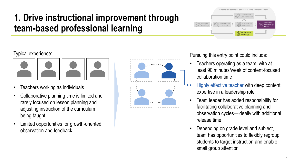#### Typical experience:



- Teachers working as individuals
- Collaborative planning time is limited and rarely focused on lesson planning and adjusting instruction of the curriculum being taught
- Limited opportunities for growth-oriented observation and feedback



Pursuing this entry point could include:

Shelter-and -Develop

Multiple Pathways

• Teachers operating as a team, with at least 90 minutes/week of content-focused collaboration time

**Expert-led teams of educators who share the work**

**A**<sup>+</sup> Professiona Learning

**Competitive** Compensation Sustainable Workload

Variety of Leadership Roles

- Highly effective teacher with deep content expertise in a leadership role
- Team leader has added responsibility for facilitating collaborative planning and observation cycles—ideally with additional release time
- Depending on grade level and subject, team has opportunities to flexibly regroup students to target instruction and enable small group attention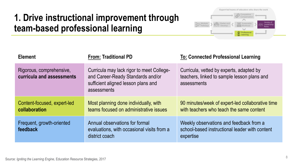

| <b>Element</b>                                        | <b>From: Traditional PD</b>                                                                                                          | <b>To: Connected Professional Learning</b>                                                             |
|-------------------------------------------------------|--------------------------------------------------------------------------------------------------------------------------------------|--------------------------------------------------------------------------------------------------------|
| Rigorous, comprehensive,<br>curricula and assessments | Curricula may lack rigor to meet College-<br>and Career-Ready Standards and/or<br>sufficient aligned lesson plans and<br>assessments | Curricula, vetted by experts, adapted by<br>teachers, linked to sample lesson plans and<br>assessments |
| Content-focused, expert-led<br>collaboration          | Most planning done individually, with<br>teams focused on administrative issues                                                      | 90 minutes/week of expert-led collaborative time<br>with teachers who teach the same content           |
| Frequent, growth-oriented<br>feedback                 | Annual observations for formal<br>evaluations, with occasional visits from a<br>district coach                                       | Weekly observations and feedback from a<br>school-based instructional leader with content<br>expertise |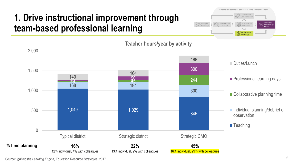



**Teacher hours/year by activity**

Source: *Igniting the Learning Engine*, Education Resource Strategies, 2017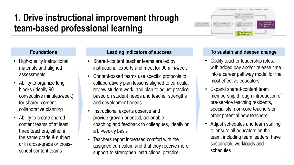#### **Foundations**

- High-quality instructional materials and aligned assessments
- Ability to organize long blocks (ideally 90 consecutive minutes/week) for shared-content collaborative planning
- Ability to create sharedcontent teams of at least three teachers, either in the same grade & subject or in cross-grade or crossschool content teams

#### **Leading indicators of success**

- Shared-content teacher teams are led by instructional experts and meet for 90 min/week
- Content-based teams use specific protocols to collaboratively plan lessons aligned to curricula, review student work, and plan to adjust practice based on student needs and teacher strengths and development needs
- Instructional experts observe and provide growth-oriented, actionable coaching and feedback to colleagues, ideally on a bi-weekly basis
- Teachers report increased comfort with the assigned curriculum and that they receive more support to strengthen instructional practice

#### **To sustain and deepen change**

<sup>+</sup> Professiona  $\mathbb{Z}$  Learning

**Expert-led teams of educators who share the work**

Competitive Compensation Sustainable Workload

Variety of Leadershi Roles

Shelter-and -Develop

Multiple Pathways

- Codify teacher leadership roles, with added pay and/or release time, into a career pathway model for the most effective educators
- Expand shared-content team membership through introduction of pre-service teaching residents, specialists, non-core teachers or other potential new teachers
- Adjust schedules and team staffing to ensure all educators on the team, including team leaders, have sustainable workloads and schedules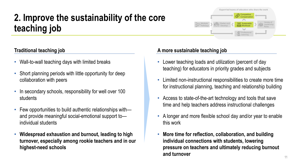## **2. Improve the sustainability of the core teaching job**

### **Traditional teaching job**

- Wall-to-wall teaching days with limited breaks
- Short planning periods with little opportunity for deep collaboration with peers
- In secondary schools, responsibility for well over 100 students
- Few opportunities to build authentic relationships with and provide meaningful social-emotional support to individual students
- **Widespread exhaustion and burnout, leading to high turnover, especially among rookie teachers and in our highest-need schools**

#### **A more sustainable teaching job**

Multiple Pathways

- Lower teaching loads and utilization (percent of day teaching) for educators in priority grades and subjects
- Limited non-instructional responsibilities to create more time for instructional planning, teaching and relationship building

Shelter-and -Develop

**Expert-led teams of educators who share the work**

**S**ustainable Workload

**D** Professiona Learning

**Competitive Compensation** 

> Variety of Leadership Roles

- Access to state-of-the-art technology and tools that save time and help teachers address instructional challenges
- A longer and more flexible school day and/or year to enable this work
- **More time for reflection, collaboration, and building individual connections with students, lowering pressure on teachers and ultimately reducing burnout and turnover**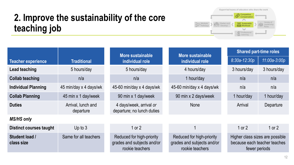### **2. Improve the sustainability of the core teaching job**

**Expert-led teams of educators who share the work Competitive Compensation**  $\curvearrowright$ Variety of See Sustainable <sub>19</sub> Multiple Shelter-and Leadership -Develop **BIR** Workload a<sup>j o</sup> Pathways Roles $\smile$ **Professional** Co Learning

|                                |                                 | More sustainable                                                           | More sustainable                                                           | <b>Shared part-time roles</b>                                                    |                |
|--------------------------------|---------------------------------|----------------------------------------------------------------------------|----------------------------------------------------------------------------|----------------------------------------------------------------------------------|----------------|
| <b>Teacher experience</b>      | <b>Traditional</b>              | individual role                                                            | individual role                                                            | $8:30a-12:30p$                                                                   | $11:00a-3:00p$ |
| Lead teaching                  | 5 hours/day                     | 5 hours/day                                                                | 4 hours/day                                                                | 3 hours/day                                                                      | 3 hours/day    |
| <b>Collab teaching</b>         | n/a                             | n/a                                                                        | 1 hour/day                                                                 | n/a                                                                              | n/a            |
| <b>Individual Planning</b>     | 45 min/day x 4 days/wk          | 45-60 min/day x 4 days/wk                                                  | 45-60 min/day x 4 days/wk                                                  | n/a                                                                              | n/a            |
| <b>Collab Planning</b>         | 45 min x 1 day/week             | 90 min x 1 day/week                                                        | 90 min x 2 days/week                                                       | 1 hour/day                                                                       | 1 hour/day     |
| <b>Duties</b>                  | Arrival, lunch and<br>departure | 4 days/week, arrival or<br>departure; no lunch duties                      | <b>None</b>                                                                | Arrival                                                                          | Departure      |
| <b>MS/HS only</b>              |                                 |                                                                            |                                                                            |                                                                                  |                |
| <b>Distinct courses taught</b> | Up to $3$                       | 1 or $2$                                                                   |                                                                            | 1 or $2$                                                                         | 1 or $2$       |
| Student load /<br>class size   | Same for all teachers           | Reduced for high-priority<br>grades and subjects and/or<br>rookie teachers | Reduced for high-priority<br>grades and subjects and/or<br>rookie teachers | Higher class sizes are possible<br>because each teacher teaches<br>fewer periods |                |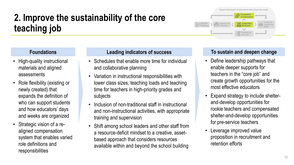## **2. Improve the sustainability of the core teaching job**

#### **Foundations**

- High-quality instructional materials and aligned assessments
- Role flexibility (existing or newly created) that expands the definition of who can support students and how educators' days and weeks are organized
- Strategic vision of a realigned compensation system that enables varied role definitions and responsibilities

#### **Leading indicators of success**

- Schedules that enable more time for individual and collaborative planning
- Variation in instructional responsibilities with lower class sizes, teaching loads and teaching time for teachers in high-priority grades and subjects
- Inclusion of non-traditional staff in instructional and non-instructional activities, with appropriate training and supervision
- Shift among school leaders and other staff from a resource-deficit mindset to a creative, assetbased approach that considers resources available within and beyond the school building

#### **To sustain and deepen change**

**Expert-led teams of educators who share the work**

**Competitive Compensation** 

**Sandara** Sustainable 罰官 Workload

Variety of Leadership Roles

**A**<sup>+</sup> Professiona Learning

Shelter-and -Develop

Multiple Pathways

- Define leadership pathways that enable deeper supports for teachers in the "core job" and create growth opportunities for the most effective educators
- Expand strategy to include shelterand-develop opportunities for rookie teachers and compensated shelter-and-develop opportunities for pre-service teachers
- Leverage improved value proposition in recruitment and retention efforts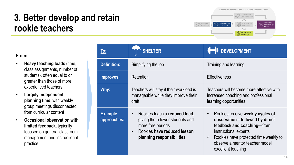#### **Expert-led teams of educators who share the work** Competitive Compensatio Variety of Multiple Sustainable Shelter-and **Leadership** Pathway -Develop Workload Roles  $\sim$ Professional Learning

#### **From:**

- **Heavy teaching loads** (time, class assignments, number of students), often equal to or greater than those of more experienced teachers
- **Largely independent planning time**, with weekly group meetings disconnected from curricular content
- **Occasional observation with limited feedback,** typically focused on general classroom management and instructional practice

| <u>To:</u>                    | <b>SHELTER</b>                                                                                                                                                             | 1 DEVELOPMENT                                                                                                                                                                                                                                        |
|-------------------------------|----------------------------------------------------------------------------------------------------------------------------------------------------------------------------|------------------------------------------------------------------------------------------------------------------------------------------------------------------------------------------------------------------------------------------------------|
| <b>Definition:</b>            | Simplifying the job                                                                                                                                                        | Training and learning                                                                                                                                                                                                                                |
| Improves:                     | Retention                                                                                                                                                                  | <b>Effectiveness</b>                                                                                                                                                                                                                                 |
| Why:                          | Teachers will stay if their workload is<br>manageable while they improve their<br>craft                                                                                    | Teachers will become more effective with<br>increased coaching and professional<br>learning opportunities                                                                                                                                            |
| <b>Example</b><br>approaches: | Rookies teach a reduced load,<br>$\bullet$<br>giving them fewer students and<br>more free periods<br>Rookies have reduced lesson<br>$\bullet$<br>planning responsibilities | Rookies receive weekly cycles of<br>$\bullet$<br>observation-followed by direct<br>feedback and coaching-from<br>instructional experts<br>Rookies have protected time weekly to<br>$\bullet$<br>observe a mentor teacher model<br>excellent teaching |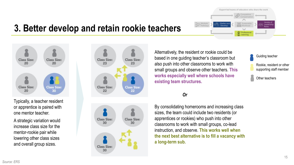

**Class Size:** 20

**Class Size:** 

20

**Class Size:** 

20

**Class Size:** 

30

A strategic variation would increase class size for the mentor-rookie pair while lowering other class sizes and overall group sizes.





Alternatively, the resident or rookie could be based in one guiding teacher's classroom but also push into other classrooms to work with small groups and observe other teachers. **This works especially well where schools have existing team structures.**

Multiple Pathway Shelter-and -Develop

#### *Or*

By consolidating homerooms and increasing class sizes, the team could include two residents (or apprentices or rookies) who push into other classrooms to work with small groups, co-lead instruction, and observe. **This works well when the next best alternative is to fill a vacancy with a long-term sub.**



Variety of **Leadership** Roles

**Expert-led teams of educators who share the work**

Competitive Compensatio

Sustainable Workload

Professional Learning

 $\sim$ 

Rookie, resident or other supporting staff member

Other teachers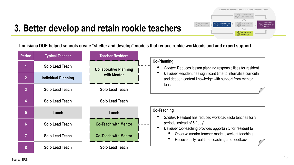

**Louisiana DOE helped schools create "shelter and develop" models that reduce rookie workloads and add expert support**

| <b>Period</b>  | <b>Typical Teacher</b>     | <b>Teacher Resident</b>       |                                                                                                                                                        |
|----------------|----------------------------|-------------------------------|--------------------------------------------------------------------------------------------------------------------------------------------------------|
|                | Solo Lead Teach            | <b>Collaborative Planning</b> | <b>Co-Planning</b><br>Shelter: Reduces lesson planning responsibilities for resident                                                                   |
| $\overline{2}$ | <b>Individual Planning</b> | with Mentor                   | Develop: Resident has significant time to internalize curricula<br>and deepen content knowledge with support from mentor                               |
| $\overline{3}$ | Solo Lead Teach            | <b>Solo Lead Teach</b>        | teacher                                                                                                                                                |
| 4              | Solo Lead Teach            | <b>Solo Lead Teach</b>        |                                                                                                                                                        |
| 5 <sup>5</sup> | Lunch                      | Lunch                         | <b>Co-Teaching</b>                                                                                                                                     |
| $6\phantom{a}$ | Solo Lead Teach            | <b>Co-Teach with Mentor</b>   | Shelter: Resident has reduced workload (solo teaches for 3<br>periods instead of 6 / day)<br>Develop: Co-teaching provides opportunity for resident to |
|                | Solo Lead Teach            | <b>Co-Teach with Mentor</b>   | Observe mentor teacher model excellent teaching<br>Receive daily real-time coaching and feedback                                                       |
| 8              | Solo Lead Teach            | <b>Solo Lead Teach</b>        |                                                                                                                                                        |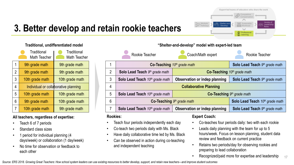

#### **All teachers, regardless of expertise:**

- Teach 6 of 7 periods
- Standard class sizes
- 1 period for individual planning (4 days/week) or collaboration (1 day/week)
- No time for observation or feedback to each other

|                | Rookie Teacher                           | Coach/Math expert                    | Rookie Teacher                                    |  |
|----------------|------------------------------------------|--------------------------------------|---------------------------------------------------|--|
|                | <b>Co-Teaching</b> $10th$ grade math     |                                      | Solo Lead Teach 9th grade math                    |  |
| $\overline{2}$ | Solo Lead Teach 9th grade math           | <b>Co-Teaching</b> $10th$ grade math |                                                   |  |
| 3              | <b>Solo Lead Teach</b> $10th$ grade math | Observation or indep planning        | Solo Lead Teach 9th grade math                    |  |
| 4              | <b>Collaborative Planning</b>            |                                      |                                                   |  |
| 5              | Solo Lead Teach 10th grade math          | <b>Co-Teaching</b> $9th$ grade math  |                                                   |  |
| 6              | Co-Teaching $9th$ grade math             |                                      | Solo Lead Teach 10th grade math                   |  |
|                | <b>Solo Lead Teach</b> $10th$ grade math | Observation or indep planning        | <b>Solo Lead Teach</b> 9 <sup>th</sup> grade math |  |

#### **Rookies:**

- Teach four periods independently each day
- Co-teach two periods daily with Ms. Black
- Have daily collaborative time led by Ms. Black
- Can be observed in action during co-teaching and independent teaching

#### **Expert Coach:**

- Co-teaches four periods daily: two with each rookie
- Leads daily planning with the team for up to 5 hours/week. Focus on lesson planning, student data review and feedback on current practice
- Retains two periods/day for observing rookies and preparing to lead collaboration
- Recognized/paid more for expertise and leadership

17

*Source: ERS 2018. Growing Great Teachers: How school system leaders can use existing resources to better develop, support, and retain new teachers—and improve student outcomes*

**Traditional, undifferentiated model "Shelter-and-develop" model with expert-led team**

**Expert-led teams of educators who share the work**

Professional Learning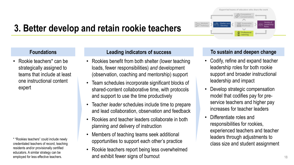#### **Foundations**

• Rookie teachers\* can be strategically assigned to teams that include at least one instructional content expert

\* "Rookies teachers" could include newly credentialed teachers of record, teaching residents and/or provisionally certified educators. A similar strategy can be employed for less effective teachers.

#### **Leading indicators of success**

- Rookies benefit from both shelter (lower teaching loads, fewer responsibilities) *and* development (observation, coaching and mentorship) support
- Team schedules incorporate significant blocks of shared-content collaborative time, with protocols and support to use the time productively
- Teacher *leader* schedules include time to prepare and lead collaboration, observation and feedback
- Rookies and teacher leaders collaborate in both planning *and* delivery of instruction
- Members of teaching teams seek additional opportunities to support each other's practice
- Rookie teachers report being less overwhelmed and exhibit fewer signs of burnout

#### **To sustain and deepen change**

- Codify, refine and expand teacher leadership roles for both rookie support and broader instructional leadership and impact
- Develop strategic compensation model that codifies pay for preservice teachers and higher pay increases for teacher leaders
- Differentiate roles and responsibilities for rookies, experienced teachers and teacher leaders through adjustments to class size and student assignment

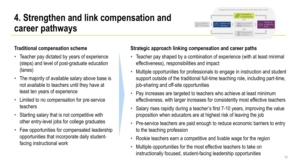### **Traditional compensation scheme**

- Teacher pay dictated by years of experience (steps) and level of post-graduate education (lanes)
- The majority of available salary above base is not available to teachers until they have at least ten years of experience
- Limited to no compensation for pre-service teachers
- Starting salary that is not competitive with other entry-level jobs for college graduates
- Few opportunities for compensated leadership opportunities that incorporate daily studentfacing instructional work

### **Strategic approach linking compensation and career paths**

- Teacher pay shaped by a combination of experience (with at least minimal effectiveness), responsibilities and impact
- Multiple opportunities for professionals to engage in instruction and student support outside of the traditional full-time teaching role, including part-time, job-sharing and off-site opportunities
- Pay increases are targeted to teachers who achieve at least minimum effectiveness, with larger increases for consistently most effective teachers
- Salary rises rapidly during a teacher's first 7-10 years, improving the value proposition when educators are at highest risk of leaving the job
- Pre-service teachers are paid enough to reduce economic barriers to entry to the teaching profession
- Rookie teachers earn a competitive and livable wage for the region
- Multiple opportunities for the most effective teachers to take on instructionally focused, student-facing leadership opportunities

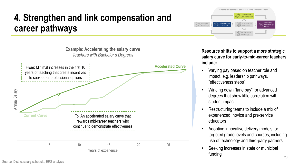



**Resource shifts to support a more strategic salary curve for early-to-mid-career teachers include:**

- Varying pay based on teacher role and impact, e.g. leadership pathways, "effectiveness steps"
- Winding down "lane pay" for advanced degrees that show little correlation with student impact
- Restructuring teams to include a mix of experienced, novice and pre-service educators
- Adopting innovative delivery models for targeted grade levels and courses, including use of technology and third-party partners
- Seeking increases in state or municipal funding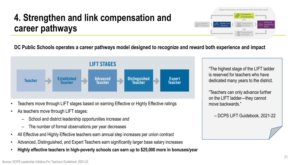**Expert-led teams of educators who share the work** Multiple Pathways Sustainable Workload Variety of Leadershi Roles Shelter-and -Develop **Competitive** Compensatio (風) Professiona Learning

**DC Public Schools operates a career pathways model designed to recognize and reward both experience and impact**



- Teachers move through LIFT stages based on earning Effective or Highly Effective ratings
- As teachers move through LIFT stages:
	- School and district leadership opportunities increase *and*
	- The number of formal observations per year decreases
- All Effective and Highly Effective teachers earn annual step increases per union contract
- Advanced, Distinguished, and Expert Teachers earn significantly larger base salary increases
- **Highly effective teachers in high-poverty schools can earn up to \$25,000 more in bonuses/year**

"The highest stage of the LIFT ladder is reserved for teachers who have dedicated many years to the district.

"Teachers can only advance further on the LIFT ladder—they cannot move backwards."

– DCPS LIFT Guidebook, 2021-22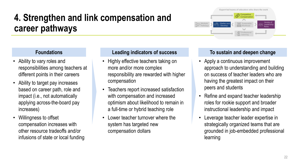- Ability to vary roles and responsibilities among teachers at different points in their careers
- Ability to target pay increases based on career path, role and impact (i.e., not automatically applying across-the-board pay increases)
- Willingness to offset compensation increases with other resource tradeoffs and/or infusions of state or local funding

#### **Foundations Leading indicators of success To sustain and deepen change**

- Highly effective teachers taking on more and/or more complex responsibility are rewarded with higher compensation
- Teachers report increased satisfaction with compensation and increased optimism about likelihood to remain in a full-time or hybrid teaching role
- Lower teacher turnover where the system has targeted new compensation dollars

**Expert-led teams of educators who share the work**

Competitive Compensation

> **Sustainable** Workload

**(A)** Professional Learning

Variety of Leadershi Roles

Multiple Pathways Shelter-and -Develop

- Apply a continuous improvement approach to understanding and building on success of teacher leaders who are having the greatest impact on their peers and students
- Refine and expand teacher leadership roles for rookie support and broader instructional leadership and impact
- Leverage teacher leader expertise in strategically organized teams that are grounded in job-embedded professional learning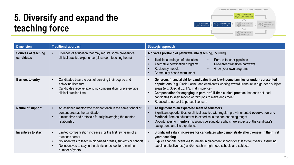

### **5. Diversify and expand the teaching force**

| <b>Dimension</b>                  | <b>Traditional approach</b>                                                                                                                                                                                                            | <b>Strategic approach</b>                                                                                                                                                                                                                                                                                                                                                                                                                      |
|-----------------------------------|----------------------------------------------------------------------------------------------------------------------------------------------------------------------------------------------------------------------------------------|------------------------------------------------------------------------------------------------------------------------------------------------------------------------------------------------------------------------------------------------------------------------------------------------------------------------------------------------------------------------------------------------------------------------------------------------|
| Sources of teaching<br>candidates | Colleges of education that may require some pre-service<br>clinical practice experience (classroom teaching hours)                                                                                                                     | A diverse portfolio of pathways into teaching, including:<br>Traditional colleges of education<br>Para-to-teacher pipelines<br>$\bullet$<br>Alternative certification programs<br>Mid-career transition pathways<br>$\bullet$<br>Residency models<br>Grow-your-own programs<br>Community-based recruitment                                                                                                                                     |
| <b>Barriers to entry</b>          | Candidates bear the cost of pursuing their degree and<br>achieving licensure<br>Candidates receive little to no compensation for pre-service<br>clinical practice time                                                                 | Generous financial aid for candidates from low-income families or under-represented<br>populations (e.g. Black, Latinx) and candidates working toward licensure in high-need subject<br>areas (e.g. Special Ed, HS, math, science)<br>Compensation for engaging in part- or full-time clinical practice that does not lead<br>$\bullet$<br>candidates to seek second or third jobs to make ends meet<br>Reduced-to-no cost to pursue licensure |
| Nature of support                 | An assigned mentor who may not teach in the same school or<br>content area as the candidate<br>Limited time and protocols for fully leveraging the mentor<br>relationship                                                              | Assignment to an expert-led team of educators<br>Significant opportunities for clinical practice with regular, growth-oriented observation and<br>feedback from an educator with expertise in the content being taught<br>Opportunities for mentorship alongside educators who share aspects of the candidate's<br>background and life experience                                                                                              |
| Incentives to stay                | Limited compensation increases for the first few years of a<br>teacher's career<br>No incentives to teach in high-need grades, subjects or schools<br>No incentives to stay in the district or school for a minimum<br>number of years | Significant salary increases for candidates who demonstrate effectiveness in their first<br>$\bullet$<br>years teaching<br>Explicit financial incentives to remain in placement schools for at least four years (assuming<br>baseline effectiveness) and/or teach in high-need schools and subjects                                                                                                                                            |